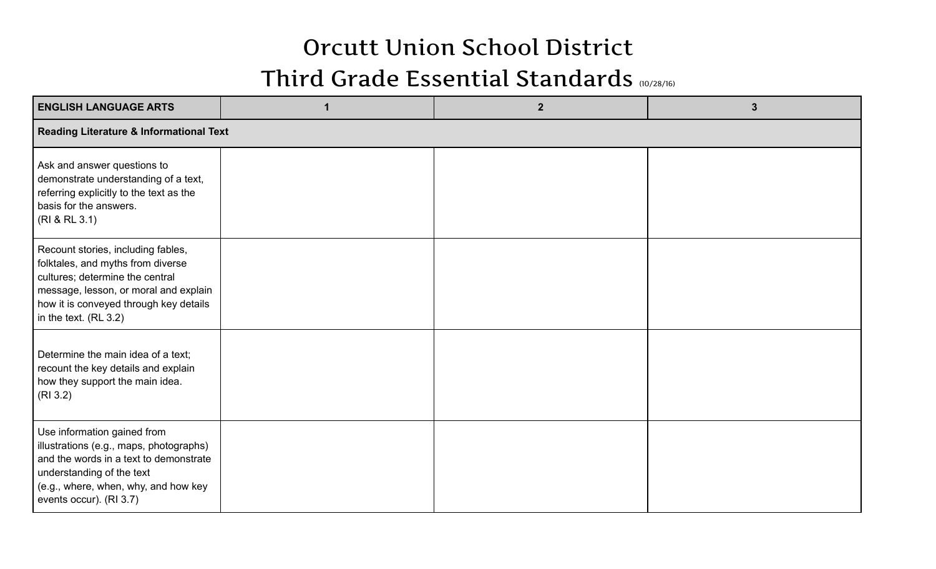## Orcutt Union School District

## Third Grade Essential Standards (10/28/16)

| <b>ENGLISH LANGUAGE ARTS</b>                                                                                                                                                                                             |  | $\overline{2}$ | 3 |  |  |  |
|--------------------------------------------------------------------------------------------------------------------------------------------------------------------------------------------------------------------------|--|----------------|---|--|--|--|
| <b>Reading Literature &amp; Informational Text</b>                                                                                                                                                                       |  |                |   |  |  |  |
| Ask and answer questions to<br>demonstrate understanding of a text,<br>referring explicitly to the text as the<br>basis for the answers.<br>(RI & RL 3.1)                                                                |  |                |   |  |  |  |
| Recount stories, including fables,<br>folktales, and myths from diverse<br>cultures; determine the central<br>message, lesson, or moral and explain<br>how it is conveyed through key details<br>in the text. $(RL 3.2)$ |  |                |   |  |  |  |
| Determine the main idea of a text;<br>recount the key details and explain<br>how they support the main idea.<br>(RI 3.2)                                                                                                 |  |                |   |  |  |  |
| Use information gained from<br>illustrations (e.g., maps, photographs)<br>and the words in a text to demonstrate<br>understanding of the text<br>(e.g., where, when, why, and how key<br>events occur). (RI 3.7)         |  |                |   |  |  |  |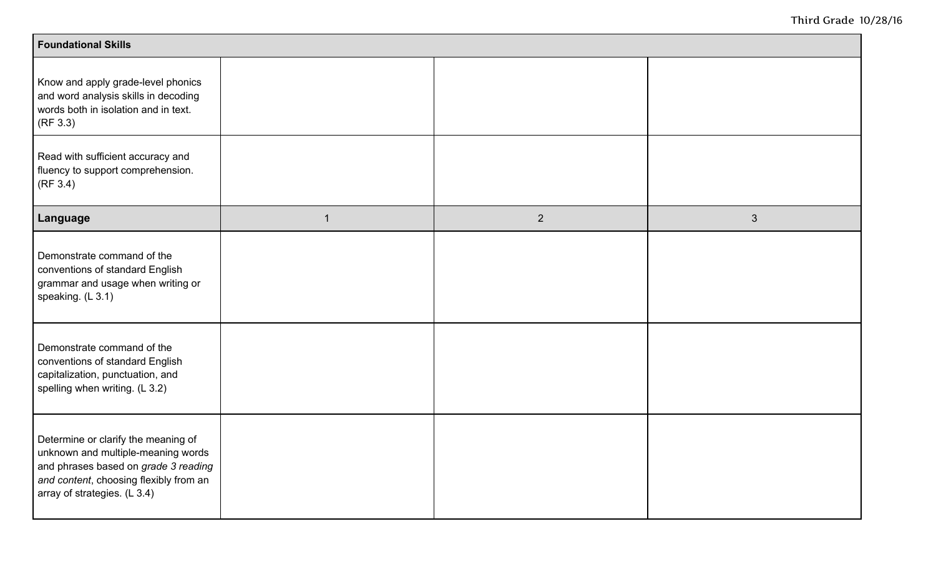| <b>Foundational Skills</b>                                                                                                                                                                  |             |             |                |  |  |
|---------------------------------------------------------------------------------------------------------------------------------------------------------------------------------------------|-------------|-------------|----------------|--|--|
| Know and apply grade-level phonics<br>and word analysis skills in decoding<br>words both in isolation and in text.<br>(RF 3.3)                                                              |             |             |                |  |  |
| Read with sufficient accuracy and<br>fluency to support comprehension.<br>(RF 3.4)                                                                                                          |             |             |                |  |  |
| Language                                                                                                                                                                                    | $\mathbf 1$ | $2^{\circ}$ | $\mathfrak{S}$ |  |  |
| Demonstrate command of the<br>conventions of standard English<br>grammar and usage when writing or<br>speaking. (L 3.1)                                                                     |             |             |                |  |  |
| Demonstrate command of the<br>conventions of standard English<br>capitalization, punctuation, and<br>spelling when writing. (L 3.2)                                                         |             |             |                |  |  |
| Determine or clarify the meaning of<br>unknown and multiple-meaning words<br>and phrases based on grade 3 reading<br>and content, choosing flexibly from an<br>array of strategies. (L 3.4) |             |             |                |  |  |